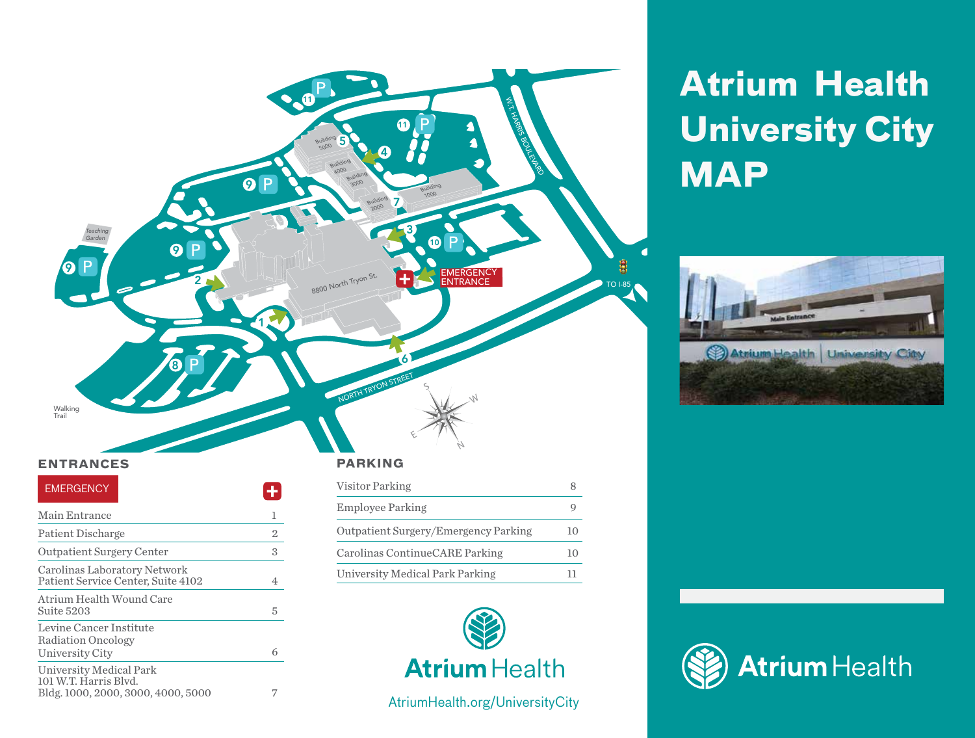

101 W.T. Harris Blvd.

Bldg. 1000, 2000, 3000, 4000, 5000 7

# **Atrium Health University City MAP**





# **Atrium** Health

AtriumHealth.org/UniversityCity